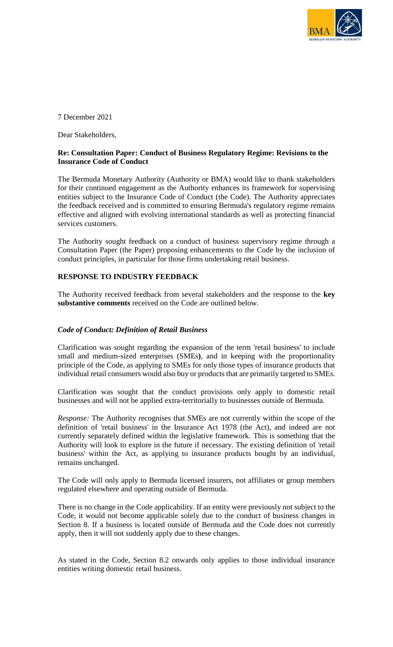

7 December 2021

Dear Stakeholders,

### **Re: Consultation Paper: Conduct of Business Regulatory Regime: Revisions to the Insurance Code of Conduct**

The Bermuda Monetary Authority (Authority or BMA) would like to thank stakeholders for their continued engagement as the Authority enhances its framework for supervising entities subject to the Insurance Code of Conduct (the Code). The Authority appreciates the feedback received and is committed to ensuring Bermuda's regulatory regime remains effective and aligned with evolving international standards as well as protecting financial services customers.

The Authority sought feedback on a conduct of business supervisory regime through a Consultation Paper (the Paper) proposing enhancements to the Code by the inclusion of conduct principles, in particular for those firms undertaking retail business.

#### **RESPONSE TO INDUSTRY FEEDBACK**

The Authority received feedback from several stakeholders and the response to the **key substantive comments** received on the Code are outlined below.

#### *Code of Conduct: Definition of Retail Business*

Clarification was sought regarding the expansion of the term 'retail business' to include small and medium-sized enterprises (SMEs**)**, and in keeping with the proportionality principle of the Code, as applying to SMEs for only those types of insurance products that individual retail consumers would also buy or products that are primarily targeted to SMEs.

Clarification was sought that the conduct provisions only apply to domestic retail businesses and will not be applied extra-territorially to businesses outside of Bermuda.

*Response:* The Authority recognises that SMEs are not currently within the scope of the definition of 'retail business' in the Insurance Act 1978 (the Act), and indeed are not currently separately defined within the legislative framework. This is something that the Authority will look to explore in the future if necessary. The existing definition of 'retail business' within the Act, as applying to insurance products bought by an individual, remains unchanged.

The Code will only apply to Bermuda licensed insurers, not affiliates or group members regulated elsewhere and operating outside of Bermuda.

There is no change in the Code applicability. If an entity were previously not subject to the Code, it would not become applicable solely due to the conduct of business changes in Section 8. If a business is located outside of Bermuda and the Code does not currently apply, then it will not suddenly apply due to these changes.

As stated in the Code, Section 8.2 onwards only applies to those individual insurance entities writing domestic retail business.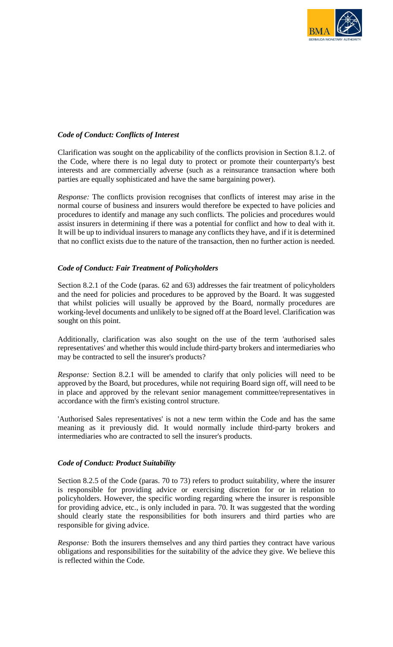

# *Code of Conduct: Conflicts of Interest*

Clarification was sought on the applicability of the conflicts provision in Section 8.1.2. of the Code, where there is no legal duty to protect or promote their counterparty's best interests and are commercially adverse (such as a reinsurance transaction where both parties are equally sophisticated and have the same bargaining power).

*Response:* The conflicts provision recognises that conflicts of interest may arise in the normal course of business and insurers would therefore be expected to have policies and procedures to identify and manage any such conflicts. The policies and procedures would assist insurers in determining if there was a potential for conflict and how to deal with it. It will be up to individual insurers to manage any conflicts they have, and if it is determined that no conflict exists due to the nature of the transaction, then no further action is needed.

#### *Code of Conduct: Fair Treatment of Policyholders*

Section 8.2.1 of the Code (paras. 62 and 63) addresses the fair treatment of policyholders and the need for policies and procedures to be approved by the Board. It was suggested that whilst policies will usually be approved by the Board, normally procedures are working-level documents and unlikely to be signed off at the Board level. Clarification was sought on this point.

Additionally, clarification was also sought on the use of the term 'authorised sales representatives' and whether this would include third-party brokers and intermediaries who may be contracted to sell the insurer's products?

*Response:* Section 8.2.1 will be amended to clarify that only policies will need to be approved by the Board, but procedures, while not requiring Board sign off, will need to be in place and approved by the relevant senior management committee/representatives in accordance with the firm's existing control structure.

'Authorised Sales representatives' is not a new term within the Code and has the same meaning as it previously did. It would normally include third-party brokers and intermediaries who are contracted to sell the insurer's products.

#### *Code of Conduct: Product Suitability*

Section 8.2.5 of the Code (paras. 70 to 73) refers to product suitability, where the insurer is responsible for providing advice or exercising discretion for or in relation to policyholders. However, the specific wording regarding where the insurer is responsible for providing advice, etc., is only included in para. 70. It was suggested that the wording should clearly state the responsibilities for both insurers and third parties who are responsible for giving advice.

*Response:* Both the insurers themselves and any third parties they contract have various obligations and responsibilities for the suitability of the advice they give. We believe this is reflected within the Code.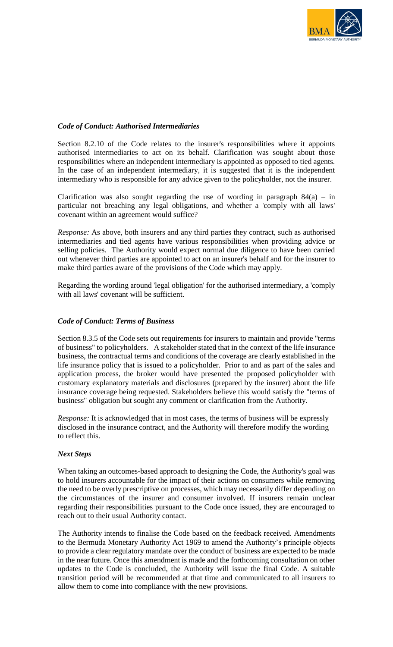

# *Code of Conduct: Authorised Intermediaries*

Section 8.2.10 of the Code relates to the insurer's responsibilities where it appoints authorised intermediaries to act on its behalf. Clarification was sought about those responsibilities where an independent intermediary is appointed as opposed to tied agents. In the case of an independent intermediary, it is suggested that it is the independent intermediary who is responsible for any advice given to the policyholder, not the insurer.

Clarification was also sought regarding the use of wording in paragraph  $84(a) - in$ particular not breaching any legal obligations, and whether a 'comply with all laws' covenant within an agreement would suffice?

*Response:* As above, both insurers and any third parties they contract, such as authorised intermediaries and tied agents have various responsibilities when providing advice or selling policies. The Authority would expect normal due diligence to have been carried out whenever third parties are appointed to act on an insurer's behalf and for the insurer to make third parties aware of the provisions of the Code which may apply.

Regarding the wording around 'legal obligation' for the authorised intermediary, a 'comply with all laws' covenant will be sufficient.

### *Code of Conduct: Terms of Business*

Section 8.3.5 of the Code sets out requirements for insurers to maintain and provide "terms of business" to policyholders. A stakeholder stated that in the context of the life insurance business, the contractual terms and conditions of the coverage are clearly established in the life insurance policy that is issued to a policyholder. Prior to and as part of the sales and application process, the broker would have presented the proposed policyholder with customary explanatory materials and disclosures (prepared by the insurer) about the life insurance coverage being requested. Stakeholders believe this would satisfy the "terms of business" obligation but sought any comment or clarification from the Authority.

*Response:* It is acknowledged that in most cases, the terms of business will be expressly disclosed in the insurance contract, and the Authority will therefore modify the wording to reflect this.

#### *Next Steps*

When taking an outcomes-based approach to designing the Code, the Authority's goal was to hold insurers accountable for the impact of their actions on consumers while removing the need to be overly prescriptive on processes, which may necessarily differ depending on the circumstances of the insurer and consumer involved. If insurers remain unclear regarding their responsibilities pursuant to the Code once issued, they are encouraged to reach out to their usual Authority contact.

The Authority intends to finalise the Code based on the feedback received. Amendments to the Bermuda Monetary Authority Act 1969 to amend the Authority's principle objects to provide a clear regulatory mandate over the conduct of business are expected to be made in the near future. Once this amendment is made and the forthcoming consultation on other updates to the Code is concluded, the Authority will issue the final Code. A suitable transition period will be recommended at that time and communicated to all insurers to allow them to come into compliance with the new provisions.